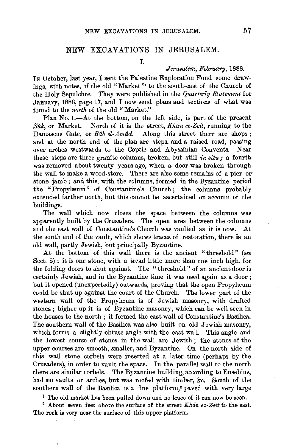## NEW EXCAVATIONS IN JERUSALEM.

## I.

## *Jerusalem, February,* 1888.

In October, last year, I sent the Palestine Exploration Fund some drawings, with notes, of the old "Market"' to the south-east of the Church of the Holy Sepulchre. They were published in the *Quarterly Statement* for January, 1888, page 17, and I now send plans and sections of what was found to the *north* of the old " Market."

Plan No. 1.—At the bottom, on the left side, is part of the present Sale, or Market. North of it is the street, *Khan ez-Zeit,* running to the Damascus Gate, or *Bab el-Amidd*. Along this street there are shops; and at the north end of the plan are steps, and a raised road, passing over arches westwards to the Coptic and Abyssinian Convents. Near these steps are three granite columns, broken, but still *in situ;* a fourth was removed ahout twenty years ago, when a door was broken through the wall to make a wood-store. There are also some remains of a pier or stone jamb ; and this, with the columns, formed in the Byzantine period the "Propylæum" of Constantine's Church; the columns probably extended farther north, but this cannot be ascertained on account of the buildings.

The wall which now closes the space between the columns was apparently built by the Crusaders. The open area between the columns and the east wall of Constantine's Church was vaulted as it is now. At the south end of the vault, which shows traces of restoration, there is an old wall, partly Jewish, but principally Byzantine.

At the hottom of this wall there is the ancient "threshold" *(see*  Sect. 2) ; it is one stone, with a tread little more than one inch high, for the folding doors to shut against. The "threshold" of an ancient door is certainly Jewish, and in the Byzantine time it was used again as a door; but it opened (unexpectedly) outwards, proving that the open Propylæum could be shut up against the court of the Church. The lower part of the western wall of the Propylæum is of Jewish masonry, with drafted stones; higher up it is of Byzantine masonry, which can be well seen in the houses to the north ; it formed the east wall of Constantine's Basilica. The southern wall of the Basilica was also built on old Jewish masonry, which forms a slightly obtuse angle with the east wall. This angle and the lowest course of stones in the wall are Jewish ; the stones of the upper courses are smooth, smaller, and Byzantine. On the north side of this wall stone corbels were inserted at a later time (perhaps by the Crusaders), in order to vault the space. In the parallel wall to the north there are similar corbels. The Byzantine building, according to Eusebius, had no vaults or arches, but was roofed with timber, &c. South of the southern wall of the Basilica is a fine platform,<sup>2</sup> paved with very large

<sup>1</sup> The old market has been pulled down and no trace of it can now be seen.  $a^2$  About seven feet above the surface of the street *Khan ez-Zeit* to the east.

The rock is very near the surface of this upper platform.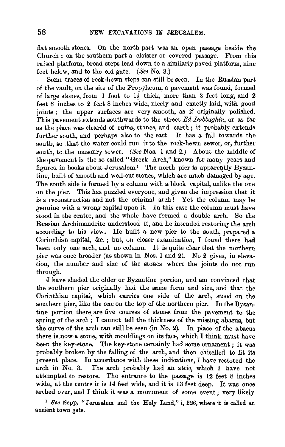flat smooth stones. On the north part was an open passage beside the Church; on the southern part a cloister or covered passage. From this raised platform, broad steps lead down to a similarly paved platform, nine feet below, and to the old gate. *(See* No. 3.)

Some traces of rock-hewn steps can still be seen. In the Russian part of the vault, on the site of the Propylæum, a pavement was found, formed of large stones, from 1 foot to  $1\frac{1}{2}$  thick, more than 3 feet long, and 2 feet 6 inches to 2 feet 8 inches wide, nicely and exactly laid, with good joints; the upper surfaces are very smooth, as if originally polished. This pavement extends southwards to the street *Ed-Dabbaghin,* or as far as the place was cleared of ruins, stones, and earth ; it probably extends further south, and perhaps also to the east. It has a fall towards the south, so .that the water could run into the rock-hewn sewer, or, further south, to the masonry sewer. *(See* Nos. 1 and 2.) About the middle of the pavement is the so-called "Greek Arch," known for many years and figured in books about Jerusalem.<sup>1</sup> The north pier is apparently Byzantine, built of smooth and well-cut stones, which are much damaged by age. The south side is formed by a column with a block capital, unlike the one on the pier. This has puzzled everyone, and given the impression that it is a reconstruction and not the original arch ! Yet the column may be genuine with a wrong capital upon it. In this case the column must have stood in the centre, and the whole have formed a double arch. So the Russian Archimandrite understood it, and he intended restoring the arch according to his view. He built a new pier to the south, prepared a Corinthian capital, &c. ; but, on closer examination, I found there had been only one arch, and no column. It is quite clear that the northern pier was once broader (as shown in Nos. 1 and 2). No 2 gives, in elevation, the number and size of the stones where the joints do not run through.

T have shaded the older or Byzantine portion, and am convinced that the southern pier originally bad the same form and size, and that the Corinthian capital, which carries one side of the arch, stood on the southern pier, like the one on the top of the northern pier. In the Byzantine portion there are five courses of stones from the pavement to the spring of the arch ; I cannot tell the thickness of the missing abacus, but the curve of the arch can still be seen (in No. 2). In place of the abacus there is now a stone, with mouldings on its face, which I think must have been the key-stone. The key-stone certainly had some ornament ; it was probably broken by the falling of the arch, and then chiselled to fit its present place. In accordance with these indications, I have restored the arch in No. 3. The arch probably had an attic, which I have not attempted to restore. The entrance to the passage is 12 feet 8 inches wide, at the centre it is 14 feet wide, and it is 13 feet deep. It was once arched over, and I think it was a monument of some event; very likely

<sup>1</sup> See Sepp, "Jerusalem and the Holy Land," i, 226, where it is called an ancient town gate.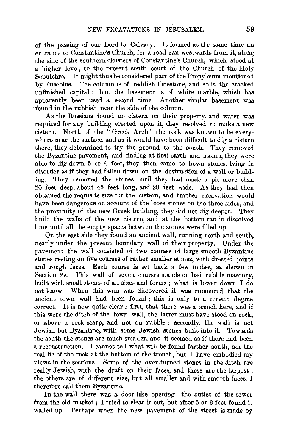of the passing of our Lord to Calvary. It formed at the same time an entrance to Constantine's Church, for a road ran westwards from it, along the side of the southern cloisters of Constantine's Church, which stood at a higher level, to the present south court of the Church of the Holy Sepulchre. It might thus be considered part of the Propylæum mentioned by Eusebius. The column is of reddish limestone, and so is the cracked unfinished capital ; but the basement is of white marble, which has apparently been used a second time. Another similar basement was found in the rubbish near the side of the column.

As the Russians found no cistern on their property, and water was required for any building erected upon it, they resolved to make a new cistern. North of the " Greek Arch " the rock was known to be everywhere near the surface, and as it would have been difficult to dig a cistern there, they determined to try the ground to the south. They removed the Byzantine pavement, and finding at first earth and stones, they were able to dig down 5 or 6 feet, they then came to hewn stones, lying in disorder as if they had fallen down on the destruction of a wall or building. They removed the stones until they had made a pit more than 20 feet deep, about 45 feet long, and 28 feet wide. As they had then obtained the requisite size for the cistern, and further excavation would have been dangerous on account of the loose stones on the three sides, and the proximity of the new Greek building, they did not dig deeper. They built the walls of the new cistern, and at the bottom ran in dissolved lime until all the empty spaces between the stones were filled up.

On the east side they found an ancient wall, running north and south, nearly under the present boundary wall of their property. Under the pavement the wall consisted of two courses of large smooth Byzantine stones resting on five courses of rather smaller stones, with dressed joints and rough faces. Each course is set back a few inches, as shown in Section 2A. This wall of seven courses stands on bad rubble masonry, built with small stones of all sizes and forms ; what is lower down I do not know. When this wall was discovered it was rumoured that the ancient town wall had been found ; this is only to a certain degree correct. It is now quite clear : first, that there was a trench here, and if this were the ditch of the town wall, the latter must have stood on rock, or above a rock-scarp, and not on rubble ; secondly, the wall is not Jewish but Byzantine, with some Jewish stones built into it. Towards the south the stones are much smaller, and it seemed as if there had been a reconstruction. I cannot tell what will be found farther south, nor the real lie of the rock at the bottom of the trench, but I have embodied my views in the sections. Some of the over-turned stones in the ditch are really Jewish, with the draft on their faces, and these are the largest ; the others are of different size, but all smaller and with smooth faces, I therefore call them Byzantine.

In the wall there was a door-like opening-the outlet of the sewer from the old market ; I tried to clear it out, but after 5 or 6 feet found it walled up. Perhaps when the new pavement of the street is made by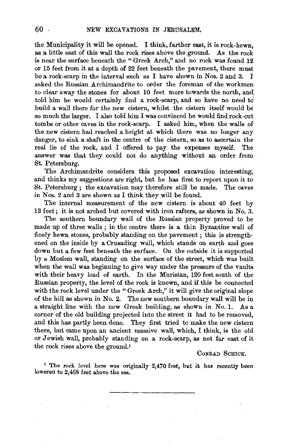the Municipality it will be opened. I think, farther east, it is rock-hewn, as a little east of this wall the rock rises above the ground. As the rock is near the surface beneath the "Greek Arch," and no rock was found 12 or 15 feet from it at a depth of 22 feet beneath the pavement, there must be a rock-scarp in the interval such as I have shown in Nos. 2 and 3. I asked the Russian Archimandrite to order the foreman of the workmen to clear away the stones for about 10 feet more towards the north, and told him he would certainly find a rock-scarp, and so have no need to build a wall there for the new cistern, whilst the cistern itself would be so much the larger. I also told him I was convinced he would find rock-cut tombs or other caves in the rock-scarp. I asked him, when the walls of the new cistern had reached a height at which there was no longer any danger, to sink a shaft in the centre of the cistern, so as to ascertain the real lie of the rock, and I offered to pay the expenses myself. The answer was that they could not do anything without an order from St. Petersburg.

The Archimandrite considers this proposed excavation interesting, and thinks my suggestions are right, but he has first to report upon it to St. Petersburg; the excavation may therefore still be made. The caves in Nos. 2 and 3 are shown as I think they will be found.

The internal measurement of the new cistern is about 40 feet by 13 feet; it is not arched but covered with iron rafters, as shown in No. 3.

The southern boundary wall of the Russian property proved to be made up of three walls ; in the centre there is a thin Byzantine wall of finely hewn stones, probably standing on the pavement ; this is strengthened on the inside by a Crusading wall, which stands on earth and goes down but a few feet beneath the surface. On the outside it is supported by a Moslem wall, standing on the surface of the street, which was built when the wall was beginning to give way under the pressure of the vaults with their heavy load of earth. In the Muristan, 120 feet south of the Russian property, the level of the rock is known, and if this be connected with the rock level under the "Greek Arch," it will give the original slope of the hill as shown in No. 2. The new southern boundary wall will be in a straight line with the new Greek building, as shown in No. 1. As a corner of the old building projected into the street it had to be removed, and this has partly been done. They first tried to make the new cistern there, but came upon an ancient massive wall, which, I think, is the old or Jewish wall, probably standing on a rock-scarp, as not far east of it the rock rises above the ground.'

CoNRAD ScHICK.

<sup>1</sup> The rock level here was originally 2,470 feet, but it has recently been lowered to 2,468 feet above the sea.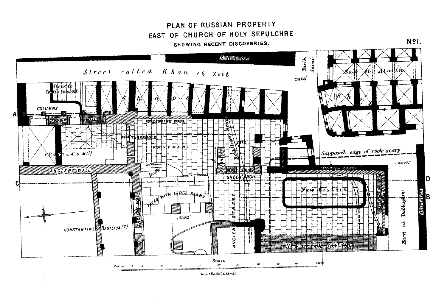## PLAN OF RUSSIAN PROPERTY EAST OF CHURCH OF HOLY SEPULCHRE

SHOWING RECENT DISCOVERIES.



Vincent Brooks Day &Sonkth.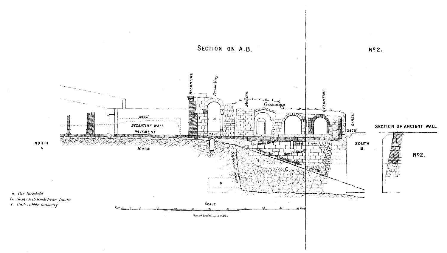